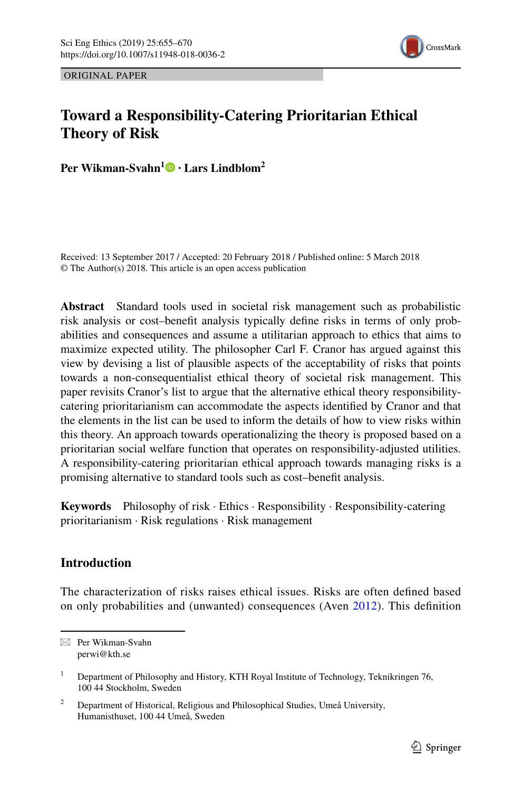

ORIGINAL PAPER

# **Toward a Responsibility‑Catering Prioritarian Ethical Theory of Risk**

**Per Wikman‑Svahn[1](http://orcid.org/0000-0001-6388-8674) · Lars Lindblom2**

Received: 13 September 2017 / Accepted: 20 February 2018 / Published online: 5 March 2018 © The Author(s) 2018. This article is an open access publication

**Abstract** Standard tools used in societal risk management such as probabilistic risk analysis or cost–beneft analysis typically defne risks in terms of only probabilities and consequences and assume a utilitarian approach to ethics that aims to maximize expected utility. The philosopher Carl F. Cranor has argued against this view by devising a list of plausible aspects of the acceptability of risks that points towards a non-consequentialist ethical theory of societal risk management. This paper revisits Cranor's list to argue that the alternative ethical theory responsibilitycatering prioritarianism can accommodate the aspects identifed by Cranor and that the elements in the list can be used to inform the details of how to view risks within this theory. An approach towards operationalizing the theory is proposed based on a prioritarian social welfare function that operates on responsibility-adjusted utilities. A responsibility-catering prioritarian ethical approach towards managing risks is a promising alternative to standard tools such as cost–beneft analysis.

**Keywords** Philosophy of risk · Ethics · Responsibility · Responsibility-catering prioritarianism · Risk regulations · Risk management

# **Introduction**

The characterization of risks raises ethical issues. Risks are often defned based on only probabilities and (unwanted) consequences (Aven [2012\)](#page-14-0). This defnition

 $\boxtimes$  Per Wikman-Svahn perwi@kth.se

<sup>1</sup> Department of Philosophy and History, KTH Royal Institute of Technology, Teknikringen 76, 100 44 Stockholm, Sweden

<sup>&</sup>lt;sup>2</sup> Department of Historical, Religious and Philosophical Studies, Umeå University, Humanisthuset, 100 44 Umeå, Sweden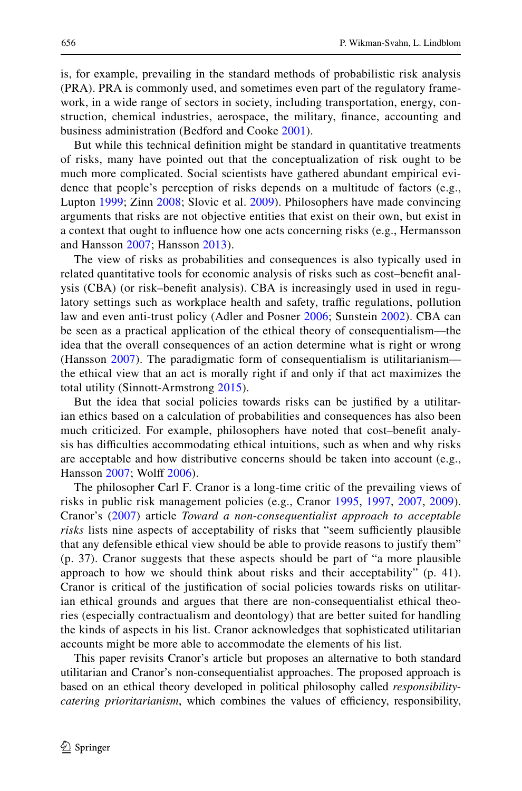is, for example, prevailing in the standard methods of probabilistic risk analysis (PRA). PRA is commonly used, and sometimes even part of the regulatory framework, in a wide range of sectors in society, including transportation, energy, construction, chemical industries, aerospace, the military, fnance, accounting and business administration (Bedford and Cooke [2001\)](#page-14-1).

But while this technical defnition might be standard in quantitative treatments of risks, many have pointed out that the conceptualization of risk ought to be much more complicated. Social scientists have gathered abundant empirical evidence that people's perception of risks depends on a multitude of factors (e.g., Lupton [1999](#page-14-2); Zinn [2008;](#page-15-0) Slovic et al. [2009](#page-15-1)). Philosophers have made convincing arguments that risks are not objective entities that exist on their own, but exist in a context that ought to infuence how one acts concerning risks (e.g., Hermansson and Hansson [2007](#page-14-3); Hansson [2013](#page-14-4)).

The view of risks as probabilities and consequences is also typically used in related quantitative tools for economic analysis of risks such as cost–beneft analysis (CBA) (or risk–beneft analysis). CBA is increasingly used in used in regulatory settings such as workplace health and safety, traffic regulations, pollution law and even anti-trust policy (Adler and Posner [2006;](#page-14-5) Sunstein [2002\)](#page-15-2). CBA can be seen as a practical application of the ethical theory of consequentialism—the idea that the overall consequences of an action determine what is right or wrong (Hansson [2007](#page-14-6)). The paradigmatic form of consequentialism is utilitarianism the ethical view that an act is morally right if and only if that act maximizes the total utility (Sinnott-Armstrong [2015\)](#page-15-3).

But the idea that social policies towards risks can be justifed by a utilitarian ethics based on a calculation of probabilities and consequences has also been much criticized. For example, philosophers have noted that cost–beneft analysis has difficulties accommodating ethical intuitions, such as when and why risks are acceptable and how distributive concerns should be taken into account (e.g., Hansson [2007;](#page-14-6) Wolff [2006\)](#page-15-4).

The philosopher Carl F. Cranor is a long-time critic of the prevailing views of risks in public risk management policies (e.g., Cranor [1995,](#page-14-7) [1997](#page-14-8), [2007,](#page-14-9) [2009](#page-14-10)). Cranor's [\(2007\)](#page-14-9) article *Toward a non*-*consequentialist approach to acceptable risks* lists nine aspects of acceptability of risks that "seem sufficiently plausible that any defensible ethical view should be able to provide reasons to justify them" (p. 37). Cranor suggests that these aspects should be part of "a more plausible approach to how we should think about risks and their acceptability" (p. 41). Cranor is critical of the justifcation of social policies towards risks on utilitarian ethical grounds and argues that there are non-consequentialist ethical theories (especially contractualism and deontology) that are better suited for handling the kinds of aspects in his list. Cranor acknowledges that sophisticated utilitarian accounts might be more able to accommodate the elements of his list.

This paper revisits Cranor's article but proposes an alternative to both standard utilitarian and Cranor's non-consequentialist approaches. The proposed approach is based on an ethical theory developed in political philosophy called *responsibilitycatering prioritarianism*, which combines the values of efficiency, responsibility,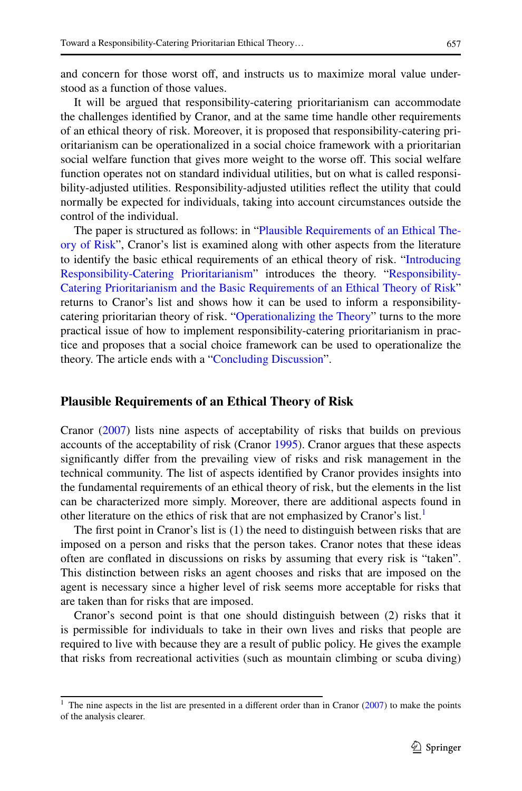and concern for those worst off, and instructs us to maximize moral value understood as a function of those values.

It will be argued that responsibility-catering prioritarianism can accommodate the challenges identifed by Cranor, and at the same time handle other requirements of an ethical theory of risk. Moreover, it is proposed that responsibility-catering prioritarianism can be operationalized in a social choice framework with a prioritarian social welfare function that gives more weight to the worse off. This social welfare function operates not on standard individual utilities, but on what is called responsibility-adjusted utilities. Responsibility-adjusted utilities refect the utility that could normally be expected for individuals, taking into account circumstances outside the control of the individual.

The paper is structured as follows: in ["Plausible Requirements of an Ethical The](#page-2-0)[ory of Risk"](#page-2-0), Cranor's list is examined along with other aspects from the literature to identify the basic ethical requirements of an ethical theory of risk. "[Introducing](#page-5-0) [Responsibility-Catering Prioritarianism](#page-5-0)" introduces the theory. "[Responsibility-](#page-7-0)[Catering Prioritarianism and the Basic Requirements of an Ethical Theory of Risk"](#page-7-0) returns to Cranor's list and shows how it can be used to inform a responsibilitycatering prioritarian theory of risk. "[Operationalizing the Theory"](#page-9-0) turns to the more practical issue of how to implement responsibility-catering prioritarianism in practice and proposes that a social choice framework can be used to operationalize the theory. The article ends with a ["Concluding Discussion"](#page-13-0).

#### <span id="page-2-0"></span>**Plausible Requirements of an Ethical Theory of Risk**

Cranor [\(2007](#page-14-9)) lists nine aspects of acceptability of risks that builds on previous accounts of the acceptability of risk (Cranor [1995\)](#page-14-7). Cranor argues that these aspects signifcantly difer from the prevailing view of risks and risk management in the technical community. The list of aspects identifed by Cranor provides insights into the fundamental requirements of an ethical theory of risk, but the elements in the list can be characterized more simply. Moreover, there are additional aspects found in other literature on the ethics of risk that are not emphasized by Cranor's list.<sup>1</sup>

The frst point in Cranor's list is (1) the need to distinguish between risks that are imposed on a person and risks that the person takes. Cranor notes that these ideas often are confated in discussions on risks by assuming that every risk is "taken". This distinction between risks an agent chooses and risks that are imposed on the agent is necessary since a higher level of risk seems more acceptable for risks that are taken than for risks that are imposed.

Cranor's second point is that one should distinguish between (2) risks that it is permissible for individuals to take in their own lives and risks that people are required to live with because they are a result of public policy. He gives the example that risks from recreational activities (such as mountain climbing or scuba diving)

<span id="page-2-1"></span><sup>&</sup>lt;sup>1</sup> The nine aspects in the list are presented in a different order than in Cranor  $(2007)$  $(2007)$  to make the points of the analysis clearer.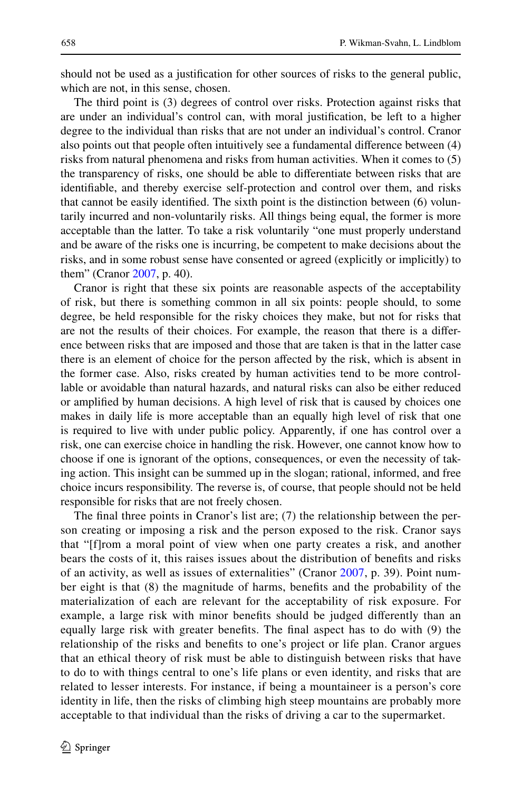should not be used as a justifcation for other sources of risks to the general public, which are not, in this sense, chosen.

The third point is (3) degrees of control over risks. Protection against risks that are under an individual's control can, with moral justifcation, be left to a higher degree to the individual than risks that are not under an individual's control. Cranor also points out that people often intuitively see a fundamental diference between (4) risks from natural phenomena and risks from human activities. When it comes to (5) the transparency of risks, one should be able to diferentiate between risks that are identifable, and thereby exercise self-protection and control over them, and risks that cannot be easily identifed. The sixth point is the distinction between (6) voluntarily incurred and non-voluntarily risks. All things being equal, the former is more acceptable than the latter. To take a risk voluntarily "one must properly understand and be aware of the risks one is incurring, be competent to make decisions about the risks, and in some robust sense have consented or agreed (explicitly or implicitly) to them" (Cranor [2007,](#page-14-9) p. 40).

Cranor is right that these six points are reasonable aspects of the acceptability of risk, but there is something common in all six points: people should, to some degree, be held responsible for the risky choices they make, but not for risks that are not the results of their choices. For example, the reason that there is a diference between risks that are imposed and those that are taken is that in the latter case there is an element of choice for the person afected by the risk, which is absent in the former case. Also, risks created by human activities tend to be more controllable or avoidable than natural hazards, and natural risks can also be either reduced or amplifed by human decisions. A high level of risk that is caused by choices one makes in daily life is more acceptable than an equally high level of risk that one is required to live with under public policy. Apparently, if one has control over a risk, one can exercise choice in handling the risk. However, one cannot know how to choose if one is ignorant of the options, consequences, or even the necessity of taking action. This insight can be summed up in the slogan; rational, informed, and free choice incurs responsibility. The reverse is, of course, that people should not be held responsible for risks that are not freely chosen.

The fnal three points in Cranor's list are; (7) the relationship between the person creating or imposing a risk and the person exposed to the risk. Cranor says that "[f]rom a moral point of view when one party creates a risk, and another bears the costs of it, this raises issues about the distribution of benefts and risks of an activity, as well as issues of externalities" (Cranor [2007,](#page-14-9) p. 39). Point number eight is that (8) the magnitude of harms, benefts and the probability of the materialization of each are relevant for the acceptability of risk exposure. For example, a large risk with minor benefts should be judged diferently than an equally large risk with greater benefts. The fnal aspect has to do with (9) the relationship of the risks and benefts to one's project or life plan. Cranor argues that an ethical theory of risk must be able to distinguish between risks that have to do to with things central to one's life plans or even identity, and risks that are related to lesser interests. For instance, if being a mountaineer is a person's core identity in life, then the risks of climbing high steep mountains are probably more acceptable to that individual than the risks of driving a car to the supermarket.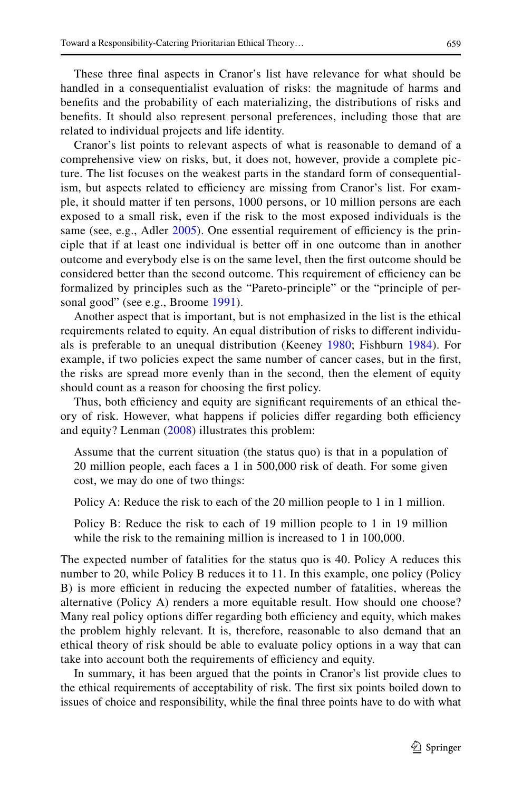These three fnal aspects in Cranor's list have relevance for what should be handled in a consequentialist evaluation of risks: the magnitude of harms and benefts and the probability of each materializing, the distributions of risks and benefts. It should also represent personal preferences, including those that are related to individual projects and life identity.

Cranor's list points to relevant aspects of what is reasonable to demand of a comprehensive view on risks, but, it does not, however, provide a complete picture. The list focuses on the weakest parts in the standard form of consequentialism, but aspects related to efficiency are missing from Cranor's list. For example, it should matter if ten persons, 1000 persons, or 10 million persons are each exposed to a small risk, even if the risk to the most exposed individuals is the same (see, e.g., Adler  $2005$ ). One essential requirement of efficiency is the principle that if at least one individual is better off in one outcome than in another outcome and everybody else is on the same level, then the frst outcome should be considered better than the second outcome. This requirement of efficiency can be formalized by principles such as the "Pareto-principle" or the "principle of per-sonal good" (see e.g., Broome [1991](#page-14-12)).

Another aspect that is important, but is not emphasized in the list is the ethical requirements related to equity. An equal distribution of risks to diferent individuals is preferable to an unequal distribution (Keeney [1980;](#page-14-13) Fishburn [1984](#page-14-14)). For example, if two policies expect the same number of cancer cases, but in the frst, the risks are spread more evenly than in the second, then the element of equity should count as a reason for choosing the frst policy.

Thus, both efficiency and equity are significant requirements of an ethical theory of risk. However, what happens if policies differ regarding both efficiency and equity? Lenman [\(2008\)](#page-14-15) illustrates this problem:

Assume that the current situation (the status quo) is that in a population of 20 million people, each faces a 1 in 500,000 risk of death. For some given cost, we may do one of two things:

Policy A: Reduce the risk to each of the 20 million people to 1 in 1 million.

Policy B: Reduce the risk to each of 19 million people to 1 in 19 million while the risk to the remaining million is increased to 1 in 100,000.

The expected number of fatalities for the status quo is 40. Policy A reduces this number to 20, while Policy B reduces it to 11. In this example, one policy (Policy B) is more efficient in reducing the expected number of fatalities, whereas the alternative (Policy A) renders a more equitable result. How should one choose? Many real policy options differ regarding both efficiency and equity, which makes the problem highly relevant. It is, therefore, reasonable to also demand that an ethical theory of risk should be able to evaluate policy options in a way that can take into account both the requirements of efficiency and equity.

In summary, it has been argued that the points in Cranor's list provide clues to the ethical requirements of acceptability of risk. The frst six points boiled down to issues of choice and responsibility, while the fnal three points have to do with what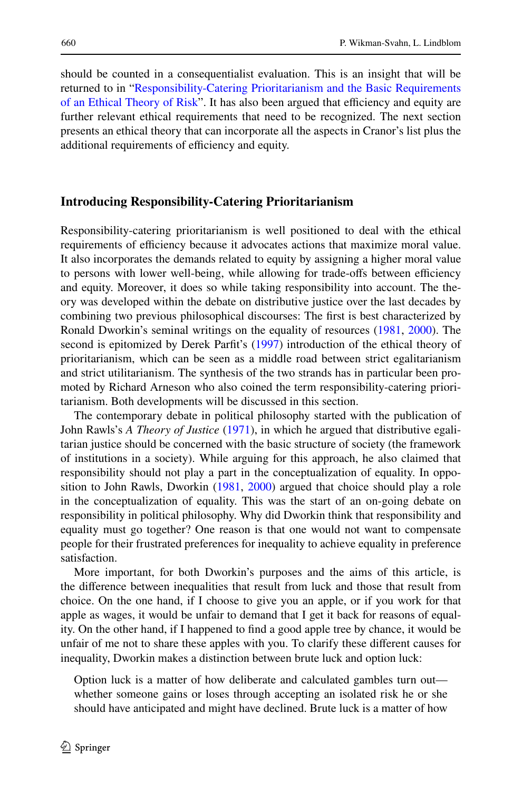should be counted in a consequentialist evaluation. This is an insight that will be returned to in ["Responsibility-Catering Prioritarianism and the Basic Requirements](#page-7-0) [of an Ethical Theory of Risk"](#page-7-0). It has also been argued that efficiency and equity are further relevant ethical requirements that need to be recognized. The next section presents an ethical theory that can incorporate all the aspects in Cranor's list plus the additional requirements of efficiency and equity.

#### <span id="page-5-0"></span>**Introducing Responsibility‑Catering Prioritarianism**

Responsibility-catering prioritarianism is well positioned to deal with the ethical requirements of efficiency because it advocates actions that maximize moral value. It also incorporates the demands related to equity by assigning a higher moral value to persons with lower well-being, while allowing for trade-offs between efficiency and equity. Moreover, it does so while taking responsibility into account. The theory was developed within the debate on distributive justice over the last decades by combining two previous philosophical discourses: The frst is best characterized by Ronald Dworkin's seminal writings on the equality of resources [\(1981](#page-14-16), [2000\)](#page-14-17). The second is epitomized by Derek Parft's [\(1997](#page-14-18)) introduction of the ethical theory of prioritarianism, which can be seen as a middle road between strict egalitarianism and strict utilitarianism. The synthesis of the two strands has in particular been promoted by Richard Arneson who also coined the term responsibility-catering prioritarianism. Both developments will be discussed in this section.

The contemporary debate in political philosophy started with the publication of John Rawls's *A Theory of Justice* ([1971\)](#page-15-5), in which he argued that distributive egalitarian justice should be concerned with the basic structure of society (the framework of institutions in a society). While arguing for this approach, he also claimed that responsibility should not play a part in the conceptualization of equality. In opposition to John Rawls, Dworkin ([1981,](#page-14-16) [2000\)](#page-14-17) argued that choice should play a role in the conceptualization of equality. This was the start of an on-going debate on responsibility in political philosophy. Why did Dworkin think that responsibility and equality must go together? One reason is that one would not want to compensate people for their frustrated preferences for inequality to achieve equality in preference satisfaction.

More important, for both Dworkin's purposes and the aims of this article, is the diference between inequalities that result from luck and those that result from choice. On the one hand, if I choose to give you an apple, or if you work for that apple as wages, it would be unfair to demand that I get it back for reasons of equality. On the other hand, if I happened to fnd a good apple tree by chance, it would be unfair of me not to share these apples with you. To clarify these diferent causes for inequality, Dworkin makes a distinction between brute luck and option luck:

Option luck is a matter of how deliberate and calculated gambles turn out whether someone gains or loses through accepting an isolated risk he or she should have anticipated and might have declined. Brute luck is a matter of how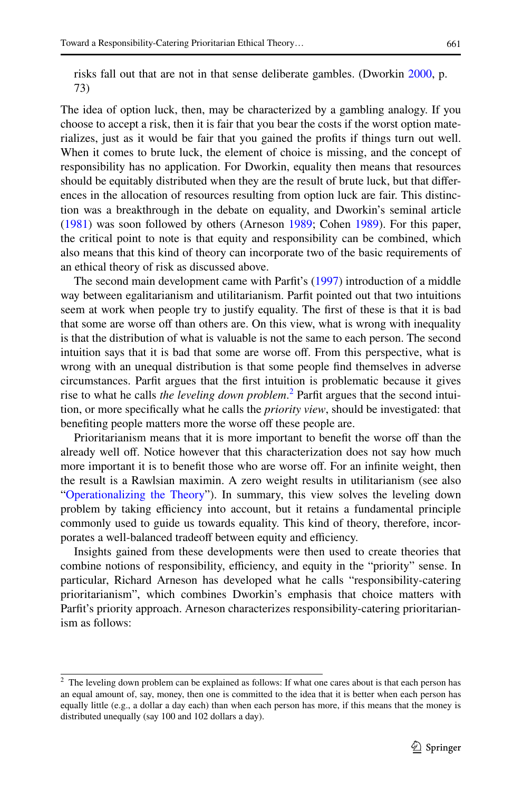#### risks fall out that are not in that sense deliberate gambles. (Dworkin [2000,](#page-14-17) p. 73)

The idea of option luck, then, may be characterized by a gambling analogy. If you choose to accept a risk, then it is fair that you bear the costs if the worst option materializes, just as it would be fair that you gained the profts if things turn out well. When it comes to brute luck, the element of choice is missing, and the concept of responsibility has no application. For Dworkin, equality then means that resources should be equitably distributed when they are the result of brute luck, but that diferences in the allocation of resources resulting from option luck are fair. This distinction was a breakthrough in the debate on equality, and Dworkin's seminal article [\(1981](#page-14-16)) was soon followed by others (Arneson [1989](#page-14-19); Cohen [1989](#page-14-20)). For this paper, the critical point to note is that equity and responsibility can be combined, which also means that this kind of theory can incorporate two of the basic requirements of an ethical theory of risk as discussed above.

The second main development came with Parft's [\(1997](#page-14-18)) introduction of a middle way between egalitarianism and utilitarianism. Parft pointed out that two intuitions seem at work when people try to justify equality. The frst of these is that it is bad that some are worse of than others are. On this view, what is wrong with inequality is that the distribution of what is valuable is not the same to each person. The second intuition says that it is bad that some are worse of. From this perspective, what is wrong with an unequal distribution is that some people fnd themselves in adverse circumstances. Parft argues that the frst intuition is problematic because it gives rise to what he calls *the leveling down problem*.<sup>[2](#page-6-0)</sup> Parfit argues that the second intuition, or more specifcally what he calls the *priority view*, should be investigated: that benefiting people matters more the worse off these people are.

Prioritarianism means that it is more important to beneft the worse of than the already well off. Notice however that this characterization does not say how much more important it is to benefit those who are worse off. For an infinite weight, then the result is a Rawlsian maximin. A zero weight results in utilitarianism (see also ["Operationalizing the Theory](#page-9-0)"). In summary, this view solves the leveling down problem by taking efficiency into account, but it retains a fundamental principle commonly used to guide us towards equality. This kind of theory, therefore, incorporates a well-balanced tradeoff between equity and efficiency.

Insights gained from these developments were then used to create theories that combine notions of responsibility, efficiency, and equity in the "priority" sense. In particular, Richard Arneson has developed what he calls "responsibility-catering prioritarianism", which combines Dworkin's emphasis that choice matters with Parft's priority approach. Arneson characterizes responsibility-catering prioritarianism as follows:

<span id="page-6-0"></span><sup>&</sup>lt;sup>2</sup> The leveling down problem can be explained as follows: If what one cares about is that each person has an equal amount of, say, money, then one is committed to the idea that it is better when each person has equally little (e.g., a dollar a day each) than when each person has more, if this means that the money is distributed unequally (say 100 and 102 dollars a day).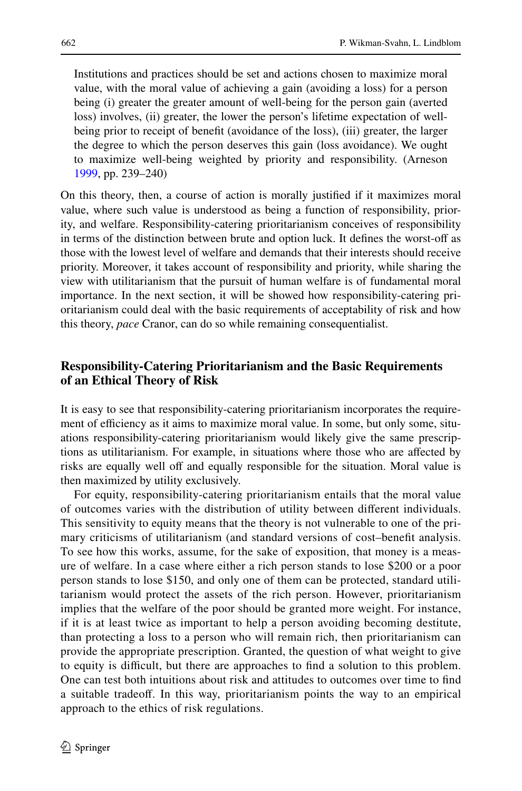Institutions and practices should be set and actions chosen to maximize moral value, with the moral value of achieving a gain (avoiding a loss) for a person being (i) greater the greater amount of well-being for the person gain (averted loss) involves, (ii) greater, the lower the person's lifetime expectation of wellbeing prior to receipt of beneft (avoidance of the loss), (iii) greater, the larger the degree to which the person deserves this gain (loss avoidance). We ought to maximize well-being weighted by priority and responsibility. (Arneson [1999](#page-14-21), pp. 239–240)

On this theory, then, a course of action is morally justifed if it maximizes moral value, where such value is understood as being a function of responsibility, priority, and welfare. Responsibility-catering prioritarianism conceives of responsibility in terms of the distinction between brute and option luck. It defines the worst-off as those with the lowest level of welfare and demands that their interests should receive priority. Moreover, it takes account of responsibility and priority, while sharing the view with utilitarianism that the pursuit of human welfare is of fundamental moral importance. In the next section, it will be showed how responsibility-catering prioritarianism could deal with the basic requirements of acceptability of risk and how this theory, *pace* Cranor, can do so while remaining consequentialist.

## <span id="page-7-0"></span>**Responsibility‑Catering Prioritarianism and the Basic Requirements of an Ethical Theory of Risk**

It is easy to see that responsibility-catering prioritarianism incorporates the requirement of efficiency as it aims to maximize moral value. In some, but only some, situations responsibility-catering prioritarianism would likely give the same prescriptions as utilitarianism. For example, in situations where those who are afected by risks are equally well off and equally responsible for the situation. Moral value is then maximized by utility exclusively.

For equity, responsibility-catering prioritarianism entails that the moral value of outcomes varies with the distribution of utility between diferent individuals. This sensitivity to equity means that the theory is not vulnerable to one of the primary criticisms of utilitarianism (and standard versions of cost–beneft analysis. To see how this works, assume, for the sake of exposition, that money is a measure of welfare. In a case where either a rich person stands to lose \$200 or a poor person stands to lose \$150, and only one of them can be protected, standard utilitarianism would protect the assets of the rich person. However, prioritarianism implies that the welfare of the poor should be granted more weight. For instance, if it is at least twice as important to help a person avoiding becoming destitute, than protecting a loss to a person who will remain rich, then prioritarianism can provide the appropriate prescription. Granted, the question of what weight to give to equity is difcult, but there are approaches to fnd a solution to this problem. One can test both intuitions about risk and attitudes to outcomes over time to fnd a suitable tradeof. In this way, prioritarianism points the way to an empirical approach to the ethics of risk regulations.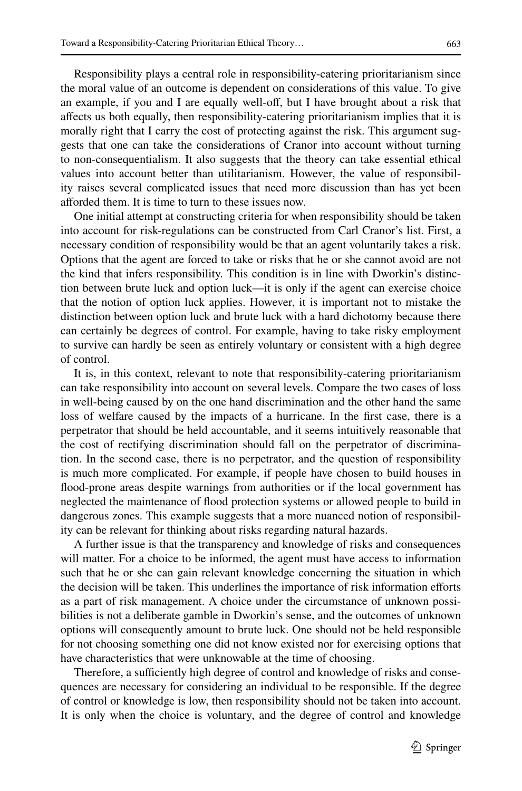Responsibility plays a central role in responsibility-catering prioritarianism since the moral value of an outcome is dependent on considerations of this value. To give an example, if you and I are equally well-of, but I have brought about a risk that afects us both equally, then responsibility-catering prioritarianism implies that it is morally right that I carry the cost of protecting against the risk. This argument suggests that one can take the considerations of Cranor into account without turning to non-consequentialism. It also suggests that the theory can take essential ethical values into account better than utilitarianism. However, the value of responsibility raises several complicated issues that need more discussion than has yet been aforded them. It is time to turn to these issues now.

One initial attempt at constructing criteria for when responsibility should be taken into account for risk-regulations can be constructed from Carl Cranor's list. First, a necessary condition of responsibility would be that an agent voluntarily takes a risk. Options that the agent are forced to take or risks that he or she cannot avoid are not the kind that infers responsibility. This condition is in line with Dworkin's distinction between brute luck and option luck—it is only if the agent can exercise choice that the notion of option luck applies. However, it is important not to mistake the distinction between option luck and brute luck with a hard dichotomy because there can certainly be degrees of control. For example, having to take risky employment to survive can hardly be seen as entirely voluntary or consistent with a high degree of control.

It is, in this context, relevant to note that responsibility-catering prioritarianism can take responsibility into account on several levels. Compare the two cases of loss in well-being caused by on the one hand discrimination and the other hand the same loss of welfare caused by the impacts of a hurricane. In the frst case, there is a perpetrator that should be held accountable, and it seems intuitively reasonable that the cost of rectifying discrimination should fall on the perpetrator of discrimination. In the second case, there is no perpetrator, and the question of responsibility is much more complicated. For example, if people have chosen to build houses in food-prone areas despite warnings from authorities or if the local government has neglected the maintenance of food protection systems or allowed people to build in dangerous zones. This example suggests that a more nuanced notion of responsibility can be relevant for thinking about risks regarding natural hazards.

A further issue is that the transparency and knowledge of risks and consequences will matter. For a choice to be informed, the agent must have access to information such that he or she can gain relevant knowledge concerning the situation in which the decision will be taken. This underlines the importance of risk information efforts as a part of risk management. A choice under the circumstance of unknown possibilities is not a deliberate gamble in Dworkin's sense, and the outcomes of unknown options will consequently amount to brute luck. One should not be held responsible for not choosing something one did not know existed nor for exercising options that have characteristics that were unknowable at the time of choosing.

Therefore, a sufficiently high degree of control and knowledge of risks and consequences are necessary for considering an individual to be responsible. If the degree of control or knowledge is low, then responsibility should not be taken into account. It is only when the choice is voluntary, and the degree of control and knowledge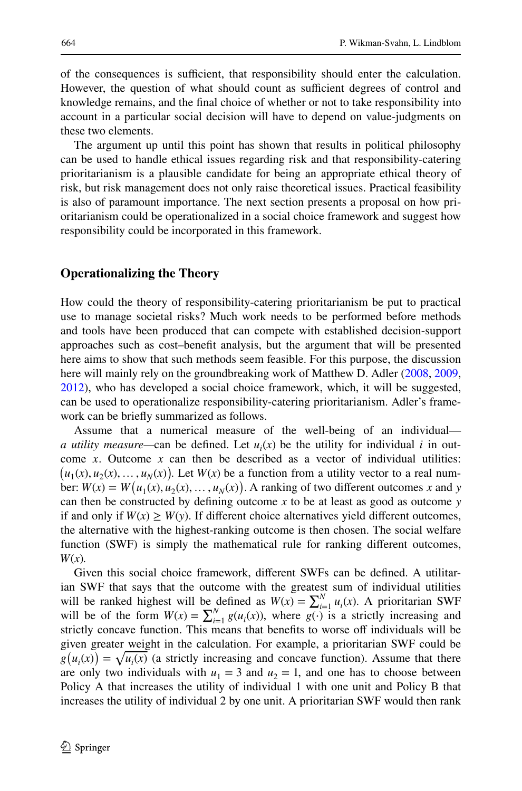of the consequences is sufficient, that responsibility should enter the calculation. However, the question of what should count as sufficient degrees of control and knowledge remains, and the fnal choice of whether or not to take responsibility into account in a particular social decision will have to depend on value-judgments on these two elements.

The argument up until this point has shown that results in political philosophy can be used to handle ethical issues regarding risk and that responsibility-catering prioritarianism is a plausible candidate for being an appropriate ethical theory of risk, but risk management does not only raise theoretical issues. Practical feasibility is also of paramount importance. The next section presents a proposal on how prioritarianism could be operationalized in a social choice framework and suggest how responsibility could be incorporated in this framework.

#### <span id="page-9-0"></span>**Operationalizing the Theory**

How could the theory of responsibility-catering prioritarianism be put to practical use to manage societal risks? Much work needs to be performed before methods and tools have been produced that can compete with established decision-support approaches such as cost–beneft analysis, but the argument that will be presented here aims to show that such methods seem feasible. For this purpose, the discussion here will mainly rely on the groundbreaking work of Matthew D. Adler ([2008,](#page-14-22) [2009,](#page-14-23) [2012](#page-14-24)), who has developed a social choice framework, which, it will be suggested, can be used to operationalize responsibility-catering prioritarianism. Adler's framework can be briefy summarized as follows.

Assume that a numerical measure of the well-being of an individual *a utility measure*—can be defined. Let  $u_i(x)$  be the utility for individual *i* in outcome *x*. Outcome *x* can then be described as a vector of individual utilities:  $(u_1(x), u_2(x), \ldots, u_N(x))$ . Let  $W(x)$  be a function from a utility vector to a real number:  $W(x) = W(u_1(x), u_2(x), \dots, u_N(x))$ . A ranking of two different outcomes *x* and *y* can then be constructed by defning outcome *x* to be at least as good as outcome *y* if and only if  $W(x) \geq W(y)$ . If different choice alternatives yield different outcomes, the alternative with the highest-ranking outcome is then chosen. The social welfare function (SWF) is simply the mathematical rule for ranking diferent outcomes, *W*(*x*).

Given this social choice framework, diferent SWFs can be defned. A utilitarian SWF that says that the outcome with the greatest sum of individual utilities will be ranked highest will be defined as  $W(x) = \sum_{i=1}^{N} u_i(x)$ . A prioritarian SWF will be of the form  $W(x) = \sum_{i=1}^{N} g(u_i(x))$ , where  $g(\cdot)$  is a strictly increasing and strictly concave function. This means that benefits to worse off individuals will be given greater weight in the calculation. For example, a prioritarian SWF could be  $g(u_i(x)) = \sqrt{u_i(x)}$  (a strictly increasing and concave function). Assume that there are only two individuals with  $u_1 = 3$  and  $u_2 = 1$ , and one has to choose between Policy A that increases the utility of individual 1 with one unit and Policy B that increases the utility of individual 2 by one unit. A prioritarian SWF would then rank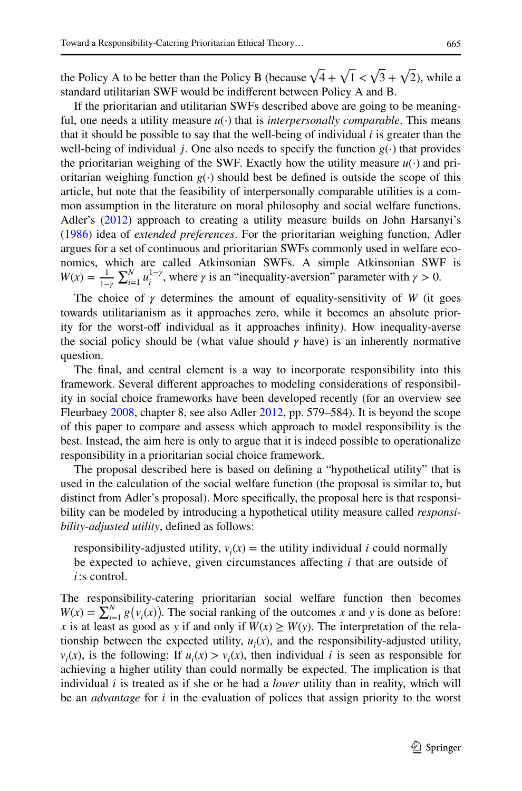the Policy A to be better than the Policy B (because  $\sqrt{4} + \sqrt{1} < \sqrt{3} + \sqrt{2}$ ), while a standard utilitarian SWF would be indiferent between Policy A and B.

If the prioritarian and utilitarian SWFs described above are going to be meaningful, one needs a utility measure  $u(\cdot)$  that is *interpersonally comparable*. This means that it should be possible to say that the well-being of individual *i* is greater than the well-being of individual *j*. One also needs to specify the function  $g(\cdot)$  that provides the prioritarian weighing of the SWF. Exactly how the utility measure  $u(\cdot)$  and prioritarian weighing function  $g(\cdot)$  should best be defined is outside the scope of this article, but note that the feasibility of interpersonally comparable utilities is a common assumption in the literature on moral philosophy and social welfare functions. Adler's ([2012\)](#page-14-24) approach to creating a utility measure builds on John Harsanyi's [\(1986](#page-14-25)) idea of *extended preferences*. For the prioritarian weighing function, Adler argues for a set of continuous and prioritarian SWFs commonly used in welfare economics, which are called Atkinsonian SWFs. A simple Atkinsonian SWF is  $W(x) = \frac{1}{1-\gamma} \sum_{i=1}^{N} u_i^{1-\gamma}$ , where  $\gamma$  is an "inequality-aversion" parameter with  $\gamma > 0$ .

The choice of  $\gamma$  determines the amount of equality-sensitivity of *W* (it goes towards utilitarianism as it approaches zero, while it becomes an absolute priority for the worst-of individual as it approaches infnity). How inequality-averse the social policy should be (what value should  $\gamma$  have) is an inherently normative question.

The fnal, and central element is a way to incorporate responsibility into this framework. Several diferent approaches to modeling considerations of responsibility in social choice frameworks have been developed recently (for an overview see Fleurbaey [2008](#page-14-26), chapter 8, see also Adler [2012,](#page-14-24) pp. 579–584). It is beyond the scope of this paper to compare and assess which approach to model responsibility is the best. Instead, the aim here is only to argue that it is indeed possible to operationalize responsibility in a prioritarian social choice framework.

The proposal described here is based on defning a "hypothetical utility" that is used in the calculation of the social welfare function (the proposal is similar to, but distinct from Adler's proposal). More specifcally, the proposal here is that responsibility can be modeled by introducing a hypothetical utility measure called *responsibility*-*adjusted utility*, defned as follows:

responsibility-adjusted utility,  $v_i(x)$  = the utility individual *i* could normally be expected to achieve, given circumstances afecting *i* that are outside of *i*:s control.

The responsibility-catering prioritarian social welfare function then becomes  $W(x) = \sum_{i=1}^{N} g(v_i(x))$ . The social ranking of the outcomes *x* and *y* is done as before: *x* is at least as good as *y* if and only if  $W(x) \geq W(y)$ . The interpretation of the relationship between the expected utility,  $u_i(x)$ , and the responsibility-adjusted utility,  $v_i(x)$ , is the following: If  $u_i(x) > v_i(x)$ , then individual *i* is seen as responsible for achieving a higher utility than could normally be expected. The implication is that individual *i* is treated as if she or he had a *lower* utility than in reality, which will be an *advantage* for *i* in the evaluation of polices that assign priority to the worst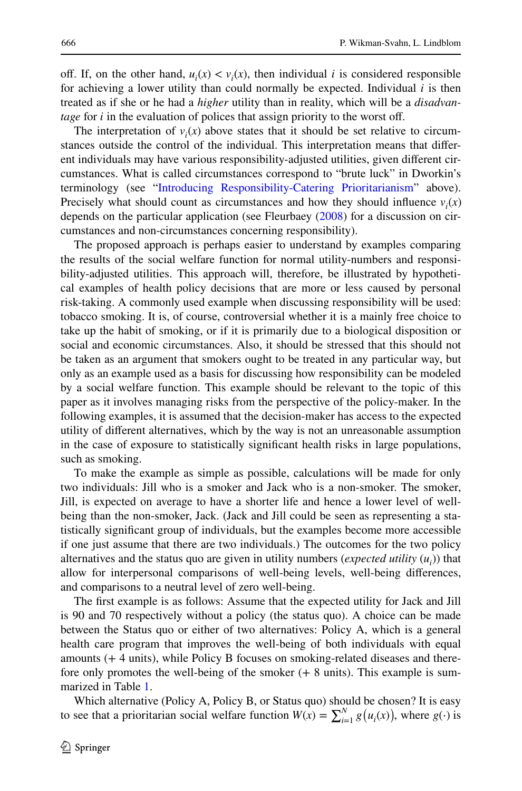off. If, on the other hand,  $u_i(x) < v_i(x)$ , then individual *i* is considered responsible for achieving a lower utility than could normally be expected. Individual  $i$  is then treated as if she or he had a *higher* utility than in reality, which will be a *disadvantage* for *i* in the evaluation of polices that assign priority to the worst off.

The interpretation of  $v_i(x)$  above states that it should be set relative to circumstances outside the control of the individual. This interpretation means that diferent individuals may have various responsibility-adjusted utilities, given diferent circumstances. What is called circumstances correspond to "brute luck" in Dworkin's terminology (see ["Introducing Responsibility-Catering Prioritarianism](#page-5-0)" above). Precisely what should count as circumstances and how they should influence  $v_i(x)$ depends on the particular application (see Fleurbaey [\(2008](#page-14-26)) for a discussion on circumstances and non-circumstances concerning responsibility).

The proposed approach is perhaps easier to understand by examples comparing the results of the social welfare function for normal utility-numbers and responsibility-adjusted utilities. This approach will, therefore, be illustrated by hypothetical examples of health policy decisions that are more or less caused by personal risk-taking. A commonly used example when discussing responsibility will be used: tobacco smoking. It is, of course, controversial whether it is a mainly free choice to take up the habit of smoking, or if it is primarily due to a biological disposition or social and economic circumstances. Also, it should be stressed that this should not be taken as an argument that smokers ought to be treated in any particular way, but only as an example used as a basis for discussing how responsibility can be modeled by a social welfare function. This example should be relevant to the topic of this paper as it involves managing risks from the perspective of the policy-maker. In the following examples, it is assumed that the decision-maker has access to the expected utility of diferent alternatives, which by the way is not an unreasonable assumption in the case of exposure to statistically signifcant health risks in large populations, such as smoking.

To make the example as simple as possible, calculations will be made for only two individuals: Jill who is a smoker and Jack who is a non-smoker. The smoker, Jill, is expected on average to have a shorter life and hence a lower level of wellbeing than the non-smoker, Jack. (Jack and Jill could be seen as representing a statistically signifcant group of individuals, but the examples become more accessible if one just assume that there are two individuals.) The outcomes for the two policy alternatives and the status quo are given in utility numbers (*expected utility*  $(u_i)$ ) that allow for interpersonal comparisons of well-being levels, well-being diferences, and comparisons to a neutral level of zero well-being.

The frst example is as follows: Assume that the expected utility for Jack and Jill is 90 and 70 respectively without a policy (the status quo). A choice can be made between the Status quo or either of two alternatives: Policy A, which is a general health care program that improves the well-being of both individuals with equal amounts (+ 4 units), while Policy B focuses on smoking-related diseases and therefore only promotes the well-being of the smoker (+ 8 units). This example is summarized in Table [1](#page-12-0).

Which alternative (Policy A, Policy B, or Status quo) should be chosen? It is easy to see that a prioritarian social welfare function  $W(x) = \sum_{i=1}^{N} g(u_i(x))$ , where  $g(\cdot)$  is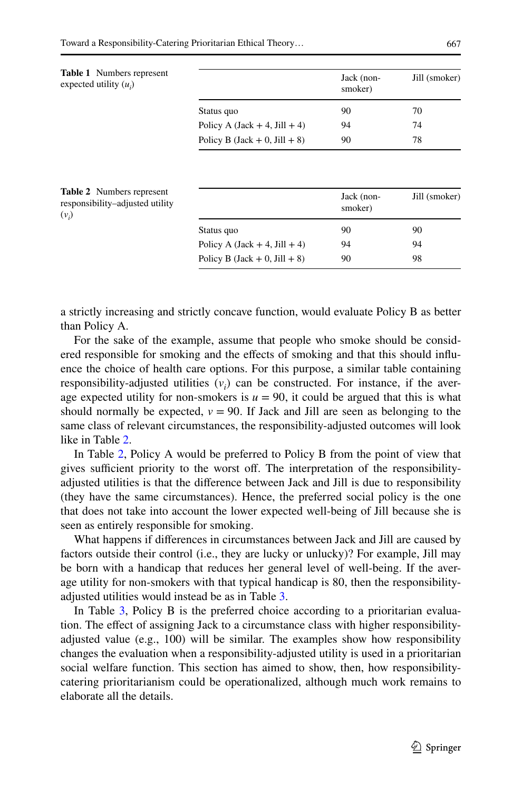<span id="page-12-1"></span><span id="page-12-0"></span>

| <b>Table 1</b> Numbers represent<br>expected utility $(u_i)$                   |                                   | Jack (non-<br>smoker) | Jill (smoker) |
|--------------------------------------------------------------------------------|-----------------------------------|-----------------------|---------------|
|                                                                                | Status quo                        | 90                    | 70            |
|                                                                                | Policy A $(Jack + 4, Jill + 4)$   | 94                    | 74            |
|                                                                                | Policy B (Jack + 0, Jill + 8)     | 90                    | 78            |
| <b>Table 2</b> Numbers represent<br>responsibility-adjusted utility<br>$(v_i)$ |                                   | Jack (non-<br>smoker) | Jill (smoker) |
|                                                                                | Status quo                        | 90                    | 90            |
|                                                                                | Policy A (Jack $+4$ , Jill $+4$ ) | 94                    | 94            |

a strictly increasing and strictly concave function, would evaluate Policy B as better than Policy A.

Policy B (Jack + 0, Jill + 8) 90 98

For the sake of the example, assume that people who smoke should be considered responsible for smoking and the efects of smoking and that this should infuence the choice of health care options. For this purpose, a similar table containing responsibility-adjusted utilities  $(v_i)$  can be constructed. For instance, if the average expected utility for non-smokers is  $u = 90$ , it could be argued that this is what should normally be expected,  $v = 90$ . If Jack and Jill are seen as belonging to the same class of relevant circumstances, the responsibility-adjusted outcomes will look like in Table [2.](#page-12-1)

In Table [2](#page-12-1), Policy A would be preferred to Policy B from the point of view that gives sufficient priority to the worst off. The interpretation of the responsibilityadjusted utilities is that the diference between Jack and Jill is due to responsibility (they have the same circumstances). Hence, the preferred social policy is the one that does not take into account the lower expected well-being of Jill because she is seen as entirely responsible for smoking.

What happens if diferences in circumstances between Jack and Jill are caused by factors outside their control (i.e., they are lucky or unlucky)? For example, Jill may be born with a handicap that reduces her general level of well-being. If the average utility for non-smokers with that typical handicap is 80, then the responsibilityadjusted utilities would instead be as in Table [3](#page-13-1).

In Table [3](#page-13-1), Policy B is the preferred choice according to a prioritarian evaluation. The efect of assigning Jack to a circumstance class with higher responsibilityadjusted value (e.g., 100) will be similar. The examples show how responsibility changes the evaluation when a responsibility-adjusted utility is used in a prioritarian social welfare function. This section has aimed to show, then, how responsibilitycatering prioritarianism could be operationalized, although much work remains to elaborate all the details.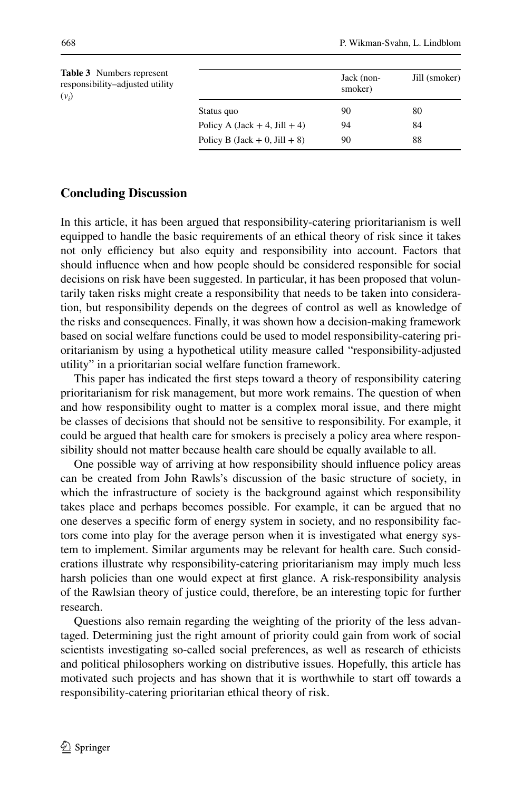<span id="page-13-1"></span>

| <b>Table 3</b> Numbers represent<br>responsibility-adjusted utility<br>$(v_i)$ |                                   | Jack (non-<br>smoker) | Jill (smoker) |
|--------------------------------------------------------------------------------|-----------------------------------|-----------------------|---------------|
|                                                                                | Status quo                        | 90                    | 80            |
|                                                                                | Policy A (Jack $+4$ , Jill $+4$ ) | 94                    | 84            |
|                                                                                | Policy B (Jack + 0, Jill + 8)     | 90                    | 88            |

## <span id="page-13-0"></span>**Concluding Discussion**

In this article, it has been argued that responsibility-catering prioritarianism is well equipped to handle the basic requirements of an ethical theory of risk since it takes not only efficiency but also equity and responsibility into account. Factors that should infuence when and how people should be considered responsible for social decisions on risk have been suggested. In particular, it has been proposed that voluntarily taken risks might create a responsibility that needs to be taken into consideration, but responsibility depends on the degrees of control as well as knowledge of the risks and consequences. Finally, it was shown how a decision-making framework based on social welfare functions could be used to model responsibility-catering prioritarianism by using a hypothetical utility measure called "responsibility-adjusted utility" in a prioritarian social welfare function framework.

This paper has indicated the frst steps toward a theory of responsibility catering prioritarianism for risk management, but more work remains. The question of when and how responsibility ought to matter is a complex moral issue, and there might be classes of decisions that should not be sensitive to responsibility. For example, it could be argued that health care for smokers is precisely a policy area where responsibility should not matter because health care should be equally available to all.

One possible way of arriving at how responsibility should infuence policy areas can be created from John Rawls's discussion of the basic structure of society, in which the infrastructure of society is the background against which responsibility takes place and perhaps becomes possible. For example, it can be argued that no one deserves a specifc form of energy system in society, and no responsibility factors come into play for the average person when it is investigated what energy system to implement. Similar arguments may be relevant for health care. Such considerations illustrate why responsibility-catering prioritarianism may imply much less harsh policies than one would expect at frst glance. A risk-responsibility analysis of the Rawlsian theory of justice could, therefore, be an interesting topic for further research.

Questions also remain regarding the weighting of the priority of the less advantaged. Determining just the right amount of priority could gain from work of social scientists investigating so-called social preferences, as well as research of ethicists and political philosophers working on distributive issues. Hopefully, this article has motivated such projects and has shown that it is worthwhile to start off towards a responsibility-catering prioritarian ethical theory of risk.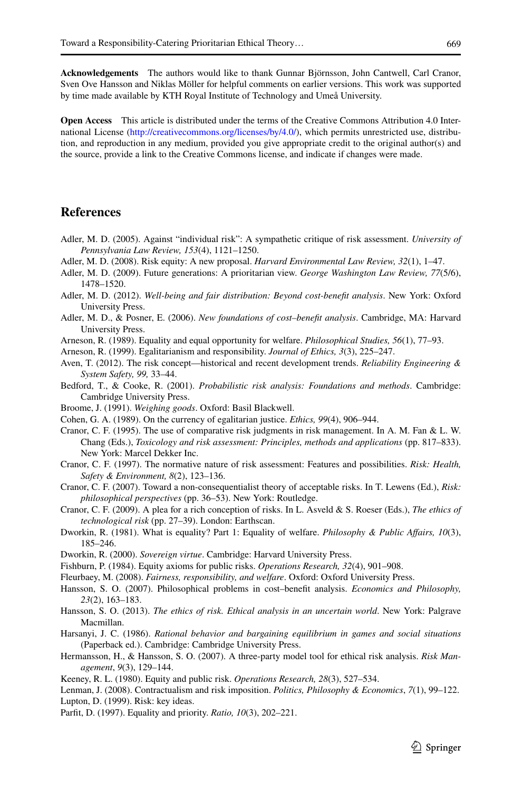**Acknowledgements** The authors would like to thank Gunnar Björnsson, John Cantwell, Carl Cranor, Sven Ove Hansson and Niklas Möller for helpful comments on earlier versions. This work was supported by time made available by KTH Royal Institute of Technology and Umeå University.

**Open Access** This article is distributed under the terms of the Creative Commons Attribution 4.0 International License (<http://creativecommons.org/licenses/by/4.0/>), which permits unrestricted use, distribution, and reproduction in any medium, provided you give appropriate credit to the original author(s) and the source, provide a link to the Creative Commons license, and indicate if changes were made.

## **References**

- <span id="page-14-11"></span>Adler, M. D. (2005). Against "individual risk": A sympathetic critique of risk assessment. *University of Pennsylvania Law Review, 153*(4), 1121–1250.
- <span id="page-14-22"></span>Adler, M. D. (2008). Risk equity: A new proposal. *Harvard Environmental Law Review, 32*(1), 1–47.
- <span id="page-14-23"></span>Adler, M. D. (2009). Future generations: A prioritarian view. *George Washington Law Review, 77*(5/6), 1478–1520.
- <span id="page-14-24"></span>Adler, M. D. (2012). *Well-being and fair distribution: Beyond cost-beneft analysis*. New York: Oxford University Press.
- <span id="page-14-5"></span>Adler, M. D., & Posner, E. (2006). *New foundations of cost–beneft analysis*. Cambridge, MA: Harvard University Press.
- <span id="page-14-19"></span>Arneson, R. (1989). Equality and equal opportunity for welfare. *Philosophical Studies, 56*(1), 77–93.
- <span id="page-14-21"></span>Arneson, R. (1999). Egalitarianism and responsibility. *Journal of Ethics, 3*(3), 225–247.
- <span id="page-14-0"></span>Aven, T. (2012). The risk concept—historical and recent development trends. *Reliability Engineering & System Safety, 99,* 33–44.
- <span id="page-14-1"></span>Bedford, T., & Cooke, R. (2001). *Probabilistic risk analysis: Foundations and methods*. Cambridge: Cambridge University Press.
- <span id="page-14-12"></span>Broome, J. (1991). *Weighing goods*. Oxford: Basil Blackwell.
- <span id="page-14-20"></span>Cohen, G. A. (1989). On the currency of egalitarian justice. *Ethics, 99*(4), 906–944.
- <span id="page-14-7"></span>Cranor, C. F. (1995). The use of comparative risk judgments in risk management. In A. M. Fan & L. W. Chang (Eds.), *Toxicology and risk assessment: Principles, methods and applications* (pp. 817–833). New York: Marcel Dekker Inc.
- <span id="page-14-8"></span>Cranor, C. F. (1997). The normative nature of risk assessment: Features and possibilities. *Risk: Health, Safety & Environment, 8*(2), 123–136.
- <span id="page-14-9"></span>Cranor, C. F. (2007). Toward a non-consequentialist theory of acceptable risks. In T. Lewens (Ed.), *Risk: philosophical perspectives* (pp. 36–53). New York: Routledge.
- <span id="page-14-10"></span>Cranor, C. F. (2009). A plea for a rich conception of risks. In L. Asveld & S. Roeser (Eds.), *The ethics of technological risk* (pp. 27–39). London: Earthscan.
- <span id="page-14-16"></span>Dworkin, R. (1981). What is equality? Part 1: Equality of welfare. *Philosophy & Public Afairs, 10*(3), 185–246.
- <span id="page-14-17"></span>Dworkin, R. (2000). *Sovereign virtue*. Cambridge: Harvard University Press.
- <span id="page-14-14"></span>Fishburn, P. (1984). Equity axioms for public risks. *Operations Research, 32*(4), 901–908.
- <span id="page-14-26"></span>Fleurbaey, M. (2008). *Fairness, responsibility, and welfare*. Oxford: Oxford University Press.
- <span id="page-14-6"></span>Hansson, S. O. (2007). Philosophical problems in cost–beneft analysis. *Economics and Philosophy, 23*(2), 163–183.
- <span id="page-14-4"></span>Hansson, S. O. (2013). *The ethics of risk. Ethical analysis in an uncertain world*. New York: Palgrave Macmillan.
- <span id="page-14-25"></span>Harsanyi, J. C. (1986). *Rational behavior and bargaining equilibrium in games and social situations* (Paperback ed.). Cambridge: Cambridge University Press.
- <span id="page-14-3"></span>Hermansson, H., & Hansson, S. O. (2007). A three-party model tool for ethical risk analysis. *Risk Management*, *9*(3), 129–144.
- <span id="page-14-13"></span>Keeney, R. L. (1980). Equity and public risk. *Operations Research, 28*(3), 527–534.

<span id="page-14-15"></span><span id="page-14-2"></span>Lenman, J. (2008). Contractualism and risk imposition. *Politics, Philosophy & Economics*, *7*(1), 99–122. Lupton, D. (1999). Risk: key ideas.

<span id="page-14-18"></span>Parft, D. (1997). Equality and priority. *Ratio, 10*(3), 202–221.